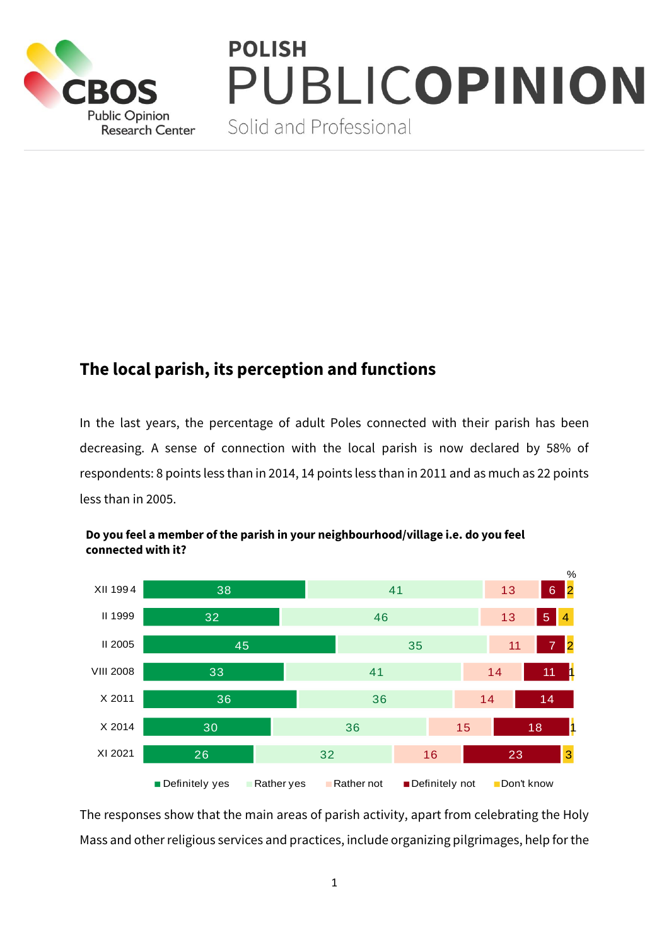

# **POLISH JBLICOPINION**

Solid and Professional

# **The local parish, its perception and functions**

In the last years, the percentage of adult Poles connected with their parish has been decreasing. A sense of connection with the local parish is now declared by 58% of respondents: 8 points less than in 2014, 14 points less than in 2011 and as much as 22 points less than in 2005.



## **Do you feel a member of the parish in your neighbourhood/village i.e. do you feel connected with it?**

The responses show that the main areas of parish activity, apart from celebrating the Holy Mass and other religious services and practices, include organizing pilgrimages, help for the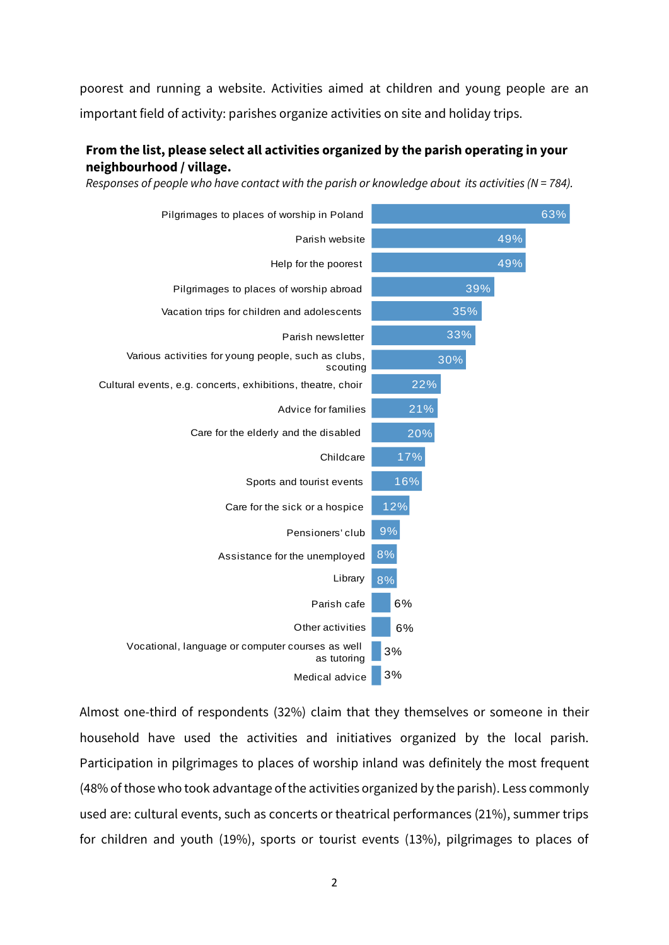poorest and running a website. Activities aimed at children and young people are an important field of activity: parishes organize activities on site and holiday trips.

#### **From the list, please select all activities organized by the parish operating in your neighbourhood / village.**

*Responses of people who have contact with the parish or knowledge about its activities (N = 784).*



Almost one-third of respondents (32%) claim that they themselves or someone in their household have used the activities and initiatives organized by the local parish. Participation in pilgrimages to places of worship inland was definitely the most frequent (48% of those who took advantage of the activities organized by the parish). Less commonly used are: cultural events, such as concerts or theatrical performances (21%), summer trips for children and youth (19%), sports or tourist events (13%), pilgrimages to places of